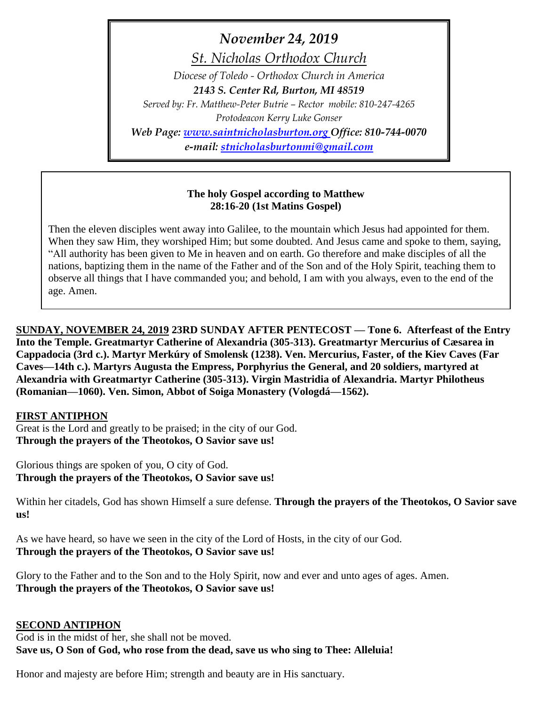*November 24, 2019*

*St. Nicholas Orthodox Church*

*Diocese of Toledo - Orthodox Church in America 2143 S. Center Rd, Burton, MI 48519 Served by: Fr. Matthew-Peter Butrie – Rector mobile: 810-247-4265 Protodeacon Kerry Luke Gonser Web Page: [www.saintnicholasburton.org](http://www.saintnicholasburton.org/) Office: 810-744-0070*

*e-mail: [stnicholasburtonmi@gmail.com](mailto:stnicholasburtonmi@gmail.com)*

## **The holy Gospel according to Matthew 28:16-20 (1st Matins Gospel)**

Then the eleven disciples went away into Galilee, to the mountain which Jesus had appointed for them. When they saw Him, they worshiped Him; but some doubted. And Jesus came and spoke to them, saying, "All authority has been given to Me in heaven and on earth. Go therefore and make disciples of all the nations, baptizing them in the name of the Father and of the Son and of the Holy Spirit, teaching them to observe all things that I have commanded you; and behold, I am with you always, even to the end of the age. Amen.

**SUNDAY, NOVEMBER 24, 2019 23RD SUNDAY AFTER PENTECOST — Tone 6. Afterfeast of the Entry Into the Temple. Greatmartyr Catherine of Alexandria (305-313). Greatmartyr Mercurius of Cæsarea in Cappadocia (3rd c.). Martyr Merkúry of Smolensk (1238). Ven. Mercurius, Faster, of the Kiev Caves (Far Caves—14th c.). Martyrs Augusta the Empress, Porphyrius the General, and 20 soldiers, martyred at Alexandria with Greatmartyr Catherine (305-313). Virgin Mastridia of Alexandria. Martyr Philotheus (Romanian—1060). Ven. Simon, Abbot of Soiga Monastery (Vologdá—1562).** 

### **FIRST ANTIPHON**

Great is the Lord and greatly to be praised; in the city of our God. **Through the prayers of the Theotokos, O Savior save us!**

Glorious things are spoken of you, O city of God. **Through the prayers of the Theotokos, O Savior save us!**

Within her citadels, God has shown Himself a sure defense. **Through the prayers of the Theotokos, O Savior save us!**

As we have heard, so have we seen in the city of the Lord of Hosts, in the city of our God. **Through the prayers of the Theotokos, O Savior save us!**

Glory to the Father and to the Son and to the Holy Spirit, now and ever and unto ages of ages. Amen. **Through the prayers of the Theotokos, O Savior save us!**

### **SECOND ANTIPHON**

God is in the midst of her, she shall not be moved. **Save us, O Son of God, who rose from the dead, save us who sing to Thee: Alleluia!**

Honor and majesty are before Him; strength and beauty are in His sanctuary.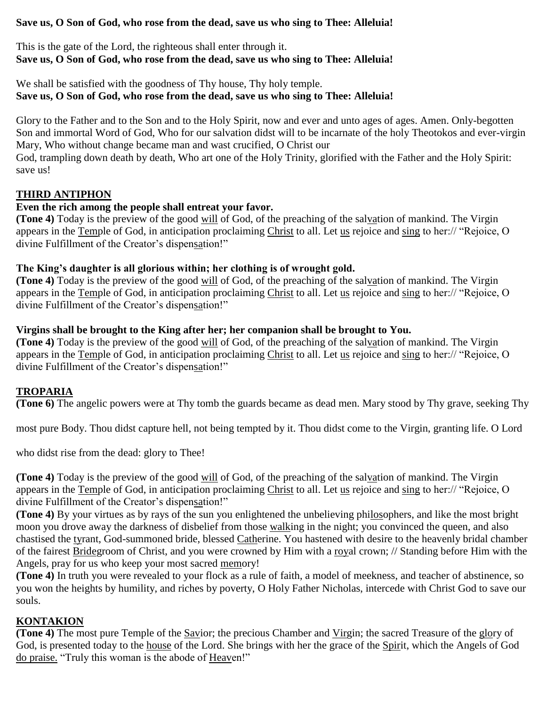## **Save us, O Son of God, who rose from the dead, save us who sing to Thee: Alleluia!**

This is the gate of the Lord, the righteous shall enter through it. **Save us, O Son of God, who rose from the dead, save us who sing to Thee: Alleluia!**

### We shall be satisfied with the goodness of Thy house, Thy holy temple. **Save us, O Son of God, who rose from the dead, save us who sing to Thee: Alleluia!**

Glory to the Father and to the Son and to the Holy Spirit, now and ever and unto ages of ages. Amen. Only-begotten Son and immortal Word of God, Who for our salvation didst will to be incarnate of the holy Theotokos and ever-virgin Mary, Who without change became man and wast crucified, O Christ our

God, trampling down death by death, Who art one of the Holy Trinity, glorified with the Father and the Holy Spirit: save us!

## **THIRD ANTIPHON**

### **Even the rich among the people shall entreat your favor.**

**(Tone 4)** Today is the preview of the good will of God, of the preaching of the salvation of mankind. The Virgin appears in the Temple of God, in anticipation proclaiming Christ to all. Let us rejoice and sing to her:// "Rejoice, O divine Fulfillment of the Creator's dispensation!"

### **The King's daughter is all glorious within; her clothing is of wrought gold.**

**(Tone 4)** Today is the preview of the good will of God, of the preaching of the salvation of mankind. The Virgin appears in the Temple of God, in anticipation proclaiming Christ to all. Let us rejoice and sing to her:// "Rejoice, O divine Fulfillment of the Creator's dispensation!"

#### **Virgins shall be brought to the King after her; her companion shall be brought to You.**

**(Tone 4)** Today is the preview of the good will of God, of the preaching of the salvation of mankind. The Virgin appears in the Temple of God, in anticipation proclaiming Christ to all. Let us rejoice and sing to her:// "Rejoice, O divine Fulfillment of the Creator's dispensation!"

### **TROPARIA**

**(Tone 6)** The angelic powers were at Thy tomb the guards became as dead men. Mary stood by Thy grave, seeking Thy

most pure Body. Thou didst capture hell, not being tempted by it. Thou didst come to the Virgin, granting life. O Lord

who didst rise from the dead: glory to Thee!

**(Tone 4)** Today is the preview of the good will of God, of the preaching of the salvation of mankind. The Virgin appears in the Temple of God, in anticipation proclaiming Christ to all. Let us rejoice and sing to her:// "Rejoice, O divine Fulfillment of the Creator's dispensation!"

**(Tone 4)** By your virtues as by rays of the sun you enlightened the unbelieving philosophers, and like the most bright moon you drove away the darkness of disbelief from those walking in the night; you convinced the queen, and also chastised the tyrant, God-summoned bride, blessed Catherine. You hastened with desire to the heavenly bridal chamber of the fairest Bridegroom of Christ, and you were crowned by Him with a royal crown; // Standing before Him with the Angels, pray for us who keep your most sacred memory!

**(Tone 4)** In truth you were revealed to your flock as a rule of faith, a model of meekness, and teacher of abstinence, so you won the heights by humility, and riches by poverty, O Holy Father Nicholas, intercede with Christ God to save our souls.

## **KONTAKION**

**(Tone 4)** The most pure Temple of the Savior; the precious Chamber and Virgin; the sacred Treasure of the glory of God, is presented today to the house of the Lord. She brings with her the grace of the Spirit, which the Angels of God do praise. "Truly this woman is the abode of Heaven!"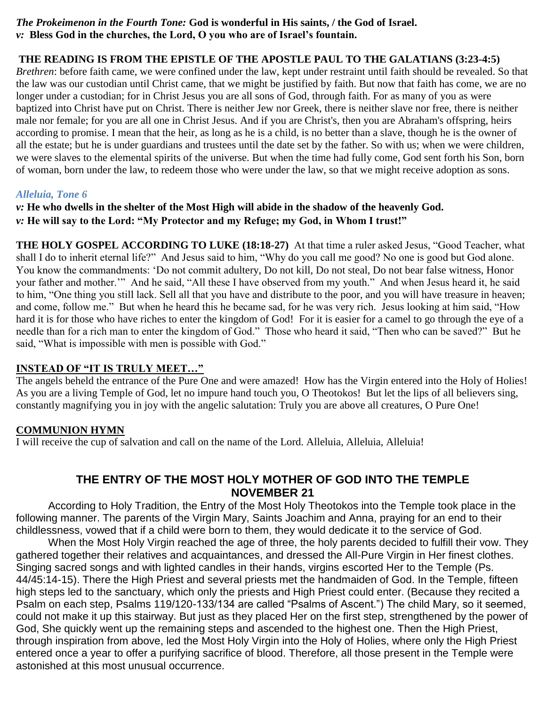### *The Prokeimenon in the Fourth Tone:* **God is wonderful in His saints, / the God of Israel.** *v:* **Bless God in the churches, the Lord, O you who are of Israel's fountain.**

# **THE READING IS FROM THE EPISTLE OF THE APOSTLE PAUL TO THE GALATIANS (3:23-4:5)**

*Brethren*: before faith came, we were confined under the law, kept under restraint until faith should be revealed. So that the law was our custodian until Christ came, that we might be justified by faith. But now that faith has come, we are no longer under a custodian; for in Christ Jesus you are all sons of God, through faith. For as many of you as were baptized into Christ have put on Christ. There is neither Jew nor Greek, there is neither slave nor free, there is neither male nor female; for you are all one in Christ Jesus. And if you are Christ's, then you are Abraham's offspring, heirs according to promise. I mean that the heir, as long as he is a child, is no better than a slave, though he is the owner of all the estate; but he is under guardians and trustees until the date set by the father. So with us; when we were children, we were slaves to the elemental spirits of the universe. But when the time had fully come, God sent forth his Son, born of woman, born under the law, to redeem those who were under the law, so that we might receive adoption as sons.

## *Alleluia, Tone 6*

*v:* **He who dwells in the shelter of the Most High will abide in the shadow of the heavenly God.** *v:* **He will say to the Lord: "My Protector and my Refuge; my God, in Whom I trust!"**

**THE HOLY GOSPEL ACCORDING TO LUKE (18:18-27)** At that time a ruler asked Jesus, "Good Teacher, what shall I do to inherit eternal life?" And Jesus said to him, "Why do you call me good? No one is good but God alone. You know the commandments: 'Do not commit adultery, Do not kill, Do not steal, Do not bear false witness, Honor your father and mother.'" And he said, "All these I have observed from my youth." And when Jesus heard it, he said to him, "One thing you still lack. Sell all that you have and distribute to the poor, and you will have treasure in heaven; and come, follow me." But when he heard this he became sad, for he was very rich. Jesus looking at him said, "How hard it is for those who have riches to enter the kingdom of God! For it is easier for a camel to go through the eye of a needle than for a rich man to enter the kingdom of God." Those who heard it said, "Then who can be saved?" But he said, "What is impossible with men is possible with God."

## **INSTEAD OF "IT IS TRULY MEET…"**

The angels beheld the entrance of the Pure One and were amazed! How has the Virgin entered into the Holy of Holies! As you are a living Temple of God, let no impure hand touch you, O Theotokos! But let the lips of all believers sing, constantly magnifying you in joy with the angelic salutation: Truly you are above all creatures, O Pure One!

## **COMMUNION HYMN**

I will receive the cup of salvation and call on the name of the Lord. Alleluia, Alleluia, Alleluia!

# **THE ENTRY OF THE MOST HOLY MOTHER OF GOD INTO THE TEMPLE NOVEMBER 21**

According to Holy Tradition, the Entry of the Most Holy Theotokos into the Temple took place in the following manner. The parents of the Virgin Mary, Saints Joachim and Anna, praying for an end to their childlessness, vowed that if a child were born to them, they would dedicate it to the service of God.

When the Most Holy Virgin reached the age of three, the holy parents decided to fulfill their vow. They gathered together their relatives and acquaintances, and dressed the All-Pure Virgin in Her finest clothes. Singing sacred songs and with lighted candles in their hands, virgins escorted Her to the Temple (Ps. 44/45:14-15). There the High Priest and several priests met the handmaiden of God. In the Temple, fifteen high steps led to the sanctuary, which only the priests and High Priest could enter. (Because they recited a Psalm on each step, Psalms 119/120-133/134 are called "Psalms of Ascent.") The child Mary, so it seemed, could not make it up this stairway. But just as they placed Her on the first step, strengthened by the power of God, She quickly went up the remaining steps and ascended to the highest one. Then the High Priest, through inspiration from above, led the Most Holy Virgin into the Holy of Holies, where only the High Priest entered once a year to offer a purifying sacrifice of blood. Therefore, all those present in the Temple were astonished at this most unusual occurrence.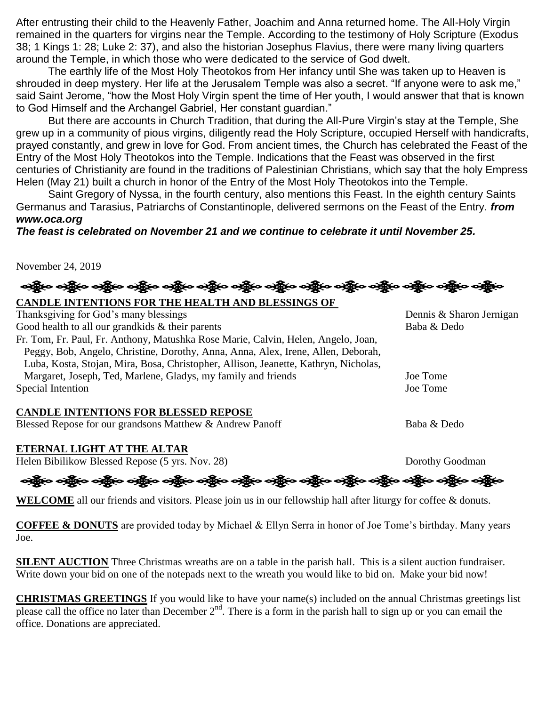After entrusting their child to the Heavenly Father, Joachim and Anna returned home. The All-Holy Virgin remained in the quarters for virgins near the Temple. According to the testimony of Holy Scripture (Exodus 38; 1 Kings 1: 28; Luke 2: 37), and also the historian Josephus Flavius, there were many living quarters around the Temple, in which those who were dedicated to the service of God dwelt.

The earthly life of the Most Holy Theotokos from Her infancy until She was taken up to Heaven is shrouded in deep mystery. Her life at the Jerusalem Temple was also a secret. "If anyone were to ask me," said Saint Jerome, "how the Most Holy Virgin spent the time of Her youth, I would answer that that is known to God Himself and the Archangel Gabriel, Her constant guardian."

But there are accounts in Church Tradition, that during the All-Pure Virgin's stay at the Temple, She grew up in a community of pious virgins, diligently read the Holy Scripture, occupied Herself with handicrafts, prayed constantly, and grew in love for God. From ancient times, the Church has celebrated the Feast of the Entry of the Most Holy Theotokos into the Temple. Indications that the Feast was observed in the first centuries of Christianity are found in the traditions of Palestinian Christians, which say that the holy Empress Helen (May 21) built a church in honor of the Entry of the Most Holy Theotokos into the Temple.

Saint Gregory of Nyssa, in the fourth century, also mentions this Feast. In the eighth century Saints Germanus and Tarasius, Patriarchs of Constantinople, delivered sermons on the Feast of the Entry. *from www.oca.org*

## *The feast is celebrated on November 21 and we continue to celebrate it until November 25.*

November 24, 2019

ခရွို့က ခရွိက ခရွိက သို့သော သို့သော သို့သော သို့သော သို့သော သို့သော သို့သော သို့သော သို့သော သို့သော သို့သော သိ **CANDLE INTENTIONS FOR THE HEALTH AND BLESSINGS OF** 

## Thanksgiving for God's many blessings Thanksgiving for God's many blessings Dennis & Sharon Jernigan Good health to all our grandkids & their parents Baba & Dedo Fr. Tom, Fr. Paul, Fr. Anthony, Matushka Rose Marie, Calvin, Helen, Angelo, Joan, Peggy, Bob, Angelo, Christine, Dorothy, Anna, Anna, Alex, Irene, Allen, Deborah, Luba, Kosta, Stojan, Mira, Bosa, Christopher, Allison, Jeanette, Kathryn, Nicholas, Margaret, Joseph, Ted, Marlene, Gladys, my family and friends Joe Tome Special Intention Joe Tome

### **CANDLE INTENTIONS FOR BLESSED REPOSE**

Blessed Repose for our grandsons Matthew & Andrew Panoff Baba & Dedo

### **ETERNAL LIGHT AT THE ALTAR**

Helen Bibilikow Blessed Repose (5 yrs. Nov. 28) Dorothy Goodman

့<br>ရန္ကြီးေ ခန္ကြီးေ ခန္ကြီးေ ခန္ကြီးေ ခန္ကြီးေ ခန္ကြီးေ ခန္ကြီးေ ခန္ကြီးေနရွိပဲ ေခန္ကြီးေ ခန္ကြီးေ ခန္ကြီးေ

WELCOME all our friends and visitors. Please join us in our fellowship hall after liturgy for coffee & donuts.

**COFFEE & DONUTS** are provided today by Michael & Ellyn Serra in honor of Joe Tome's birthday. Many years Joe.

**SILENT AUCTION** Three Christmas wreaths are on a table in the parish hall. This is a silent auction fundraiser. Write down your bid on one of the notepads next to the wreath you would like to bid on. Make your bid now!

**CHRISTMAS GREETINGS** If you would like to have your name(s) included on the annual Christmas greetings list please call the office no later than December  $2<sup>nd</sup>$ . There is a form in the parish hall to sign up or you can email the office. Donations are appreciated.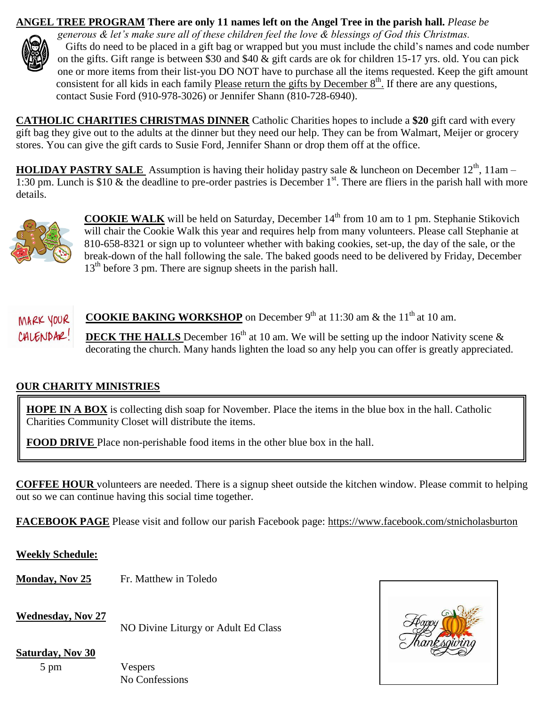## **ANGEL TREE PROGRAM There are only 11 names left on the Angel Tree in the parish hall.** *Please be*



*generous & let's make sure all of these children feel the love & blessings of God this Christmas.* Gifts do need to be placed in a gift bag or wrapped but you must include the child's names and code number on the gifts. Gift range is between \$30 and \$40 & gift cards are ok for children 15-17 yrs. old. You can pick one or more items from their list-you DO NOT have to purchase all the items requested. Keep the gift amount consistent for all kids in each family Please return the gifts by December  $8<sup>th</sup>$ . If there are any questions, contact Susie Ford (910-978-3026) or Jennifer Shann (810-728-6940).

**CATHOLIC CHARITIES CHRISTMAS DINNER** Catholic Charities hopes to include a **\$20** gift card with every gift bag they give out to the adults at the dinner but they need our help. They can be from Walmart, Meijer or grocery stores. You can give the gift cards to Susie Ford, Jennifer Shann or drop them off at the office.

**HOLIDAY PASTRY SALE** Assumption is having their holiday pastry sale & luncheon on December 12<sup>th</sup>, 11am – 1:30 pm. Lunch is \$10  $\&$  the deadline to pre-order pastries is December 1<sup>st</sup>. There are fliers in the parish hall with more details.



**COOKIE WALK** will be held on Saturday, December 14<sup>th</sup> from 10 am to 1 pm. Stephanie Stikovich will chair the Cookie Walk this year and requires help from many volunteers. Please call Stephanie at 810-658-8321 or sign up to volunteer whether with baking cookies, set-up, the day of the sale, or the break-down of the hall following the sale. The baked goods need to be delivered by Friday, December 13<sup>th</sup> before 3 pm. There are signup sheets in the parish hall.

**MARK YOUR** COOKIE BAKING WORKSHOP on December 9<sup>th</sup> at 11:30 am & the 11<sup>th</sup> at 10 am. **CALENDAR.** DECK THE HALLS December 16<sup>th</sup> at 10 am. We will be setting up the indoor Nativity scene & decorating the church. Many hands lighten the load so any help you can offer is greatly appreciated.

## **OUR CHARITY MINISTRIES**

**HOPE IN A BOX** is collecting dish soap for November. Place the items in the blue box in the hall. Catholic Charities Community Closet will distribute the items.

**FOOD DRIVE** Place non-perishable food items in the other blue box in the hall.

**COFFEE HOUR** volunteers are needed. There is a signup sheet outside the kitchen window. Please commit to helping out so we can continue having this social time together.

**FACEBOOK PAGE** Please visit and follow our parish Facebook page:<https://www.facebook.com/stnicholasburton>

**Weekly Schedule:**

**Monday, Nov 25** Fr. Matthew in Toledo

**Wednesday, Nov 27**

NO Divine Liturgy or Adult Ed Class

**Saturday, Nov 30**

5 pm Vespers No Confessions